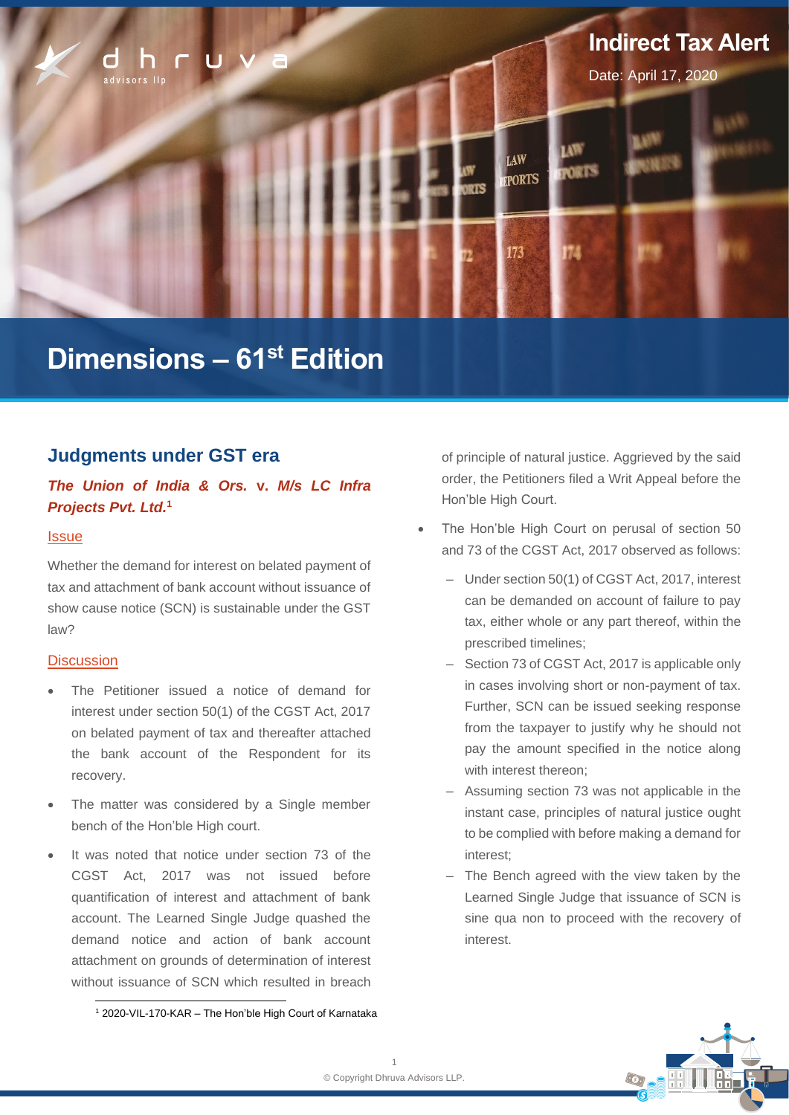

# **Dimensions – 61 st Edition**

# **Judgments under GST era**

# *The Union of India & Ors.* **v.** *M/s LC Infra Projects Pvt. Ltd.* **1**

#### **Issue**

Whether the demand for interest on belated payment of tax and attachment of bank account without issuance of show cause notice (SCN) is sustainable under the GST law?

## **Discussion**

- The Petitioner issued a notice of demand for interest under section 50(1) of the CGST Act, 2017 on belated payment of tax and thereafter attached the bank account of the Respondent for its recovery.
- The matter was considered by a Single member bench of the Hon'ble High court.
- It was noted that notice under section 73 of the CGST Act, 2017 was not issued before quantification of interest and attachment of bank account. The Learned Single Judge quashed the demand notice and action of bank account attachment on grounds of determination of interest without issuance of SCN which resulted in breach

<sup>1</sup> 2020-VIL-170-KAR – The Hon'ble High Court of Karnataka

of principle of natural justice. Aggrieved by the said order, the Petitioners filed a Writ Appeal before the Hon'ble High Court.

- The Hon'ble High Court on perusal of section 50 and 73 of the CGST Act, 2017 observed as follows:
	- Under section 50(1) of CGST Act, 2017, interest can be demanded on account of failure to pay tax, either whole or any part thereof, within the prescribed timelines;
	- Section 73 of CGST Act, 2017 is applicable only in cases involving short or non-payment of tax. Further, SCN can be issued seeking response from the taxpayer to justify why he should not pay the amount specified in the notice along with interest thereon;
	- ‒ Assuming section 73 was not applicable in the instant case, principles of natural justice ought to be complied with before making a demand for interest;
	- The Bench agreed with the view taken by the Learned Single Judge that issuance of SCN is sine qua non to proceed with the recovery of interest.

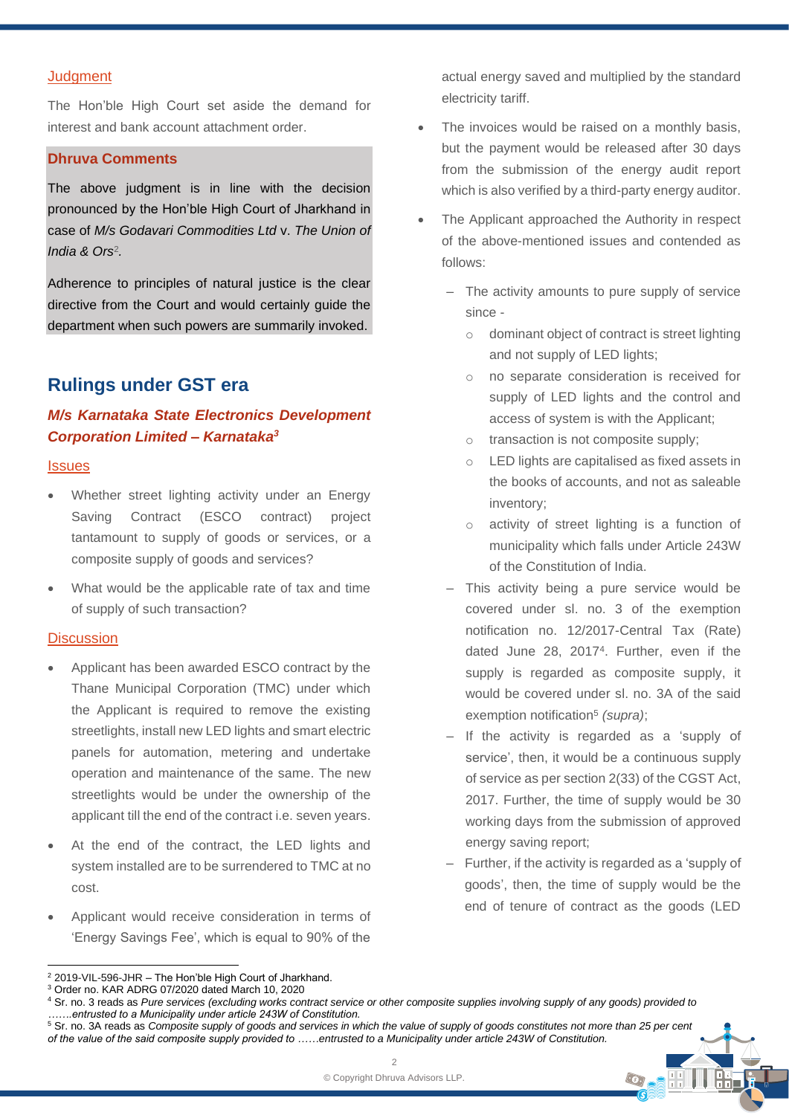#### **Judgment**

The Hon'ble High Court set aside the demand for interest and bank account attachment order.

## **Dhruva Comments**

The above judgment is in line with the decision pronounced by the Hon'ble High Court of Jharkhand in case of *M/s Godavari Commodities Ltd* v. *The Union of India & Ors*<sup>2</sup> *.*

Adherence to principles of natural justice is the clear directive from the Court and would certainly guide the department when such powers are summarily invoked.

# **Rulings under GST era**

# *M/s Karnataka State Electronics Development Corporation Limited – Karnataka<sup>3</sup>*

#### **Issues**

- Whether street lighting activity under an Energy Saving Contract (ESCO contract) project tantamount to supply of goods or services, or a composite supply of goods and services?
- What would be the applicable rate of tax and time of supply of such transaction?

#### **Discussion**

- Applicant has been awarded ESCO contract by the Thane Municipal Corporation (TMC) under which the Applicant is required to remove the existing streetlights, install new LED lights and smart electric panels for automation, metering and undertake operation and maintenance of the same. The new streetlights would be under the ownership of the applicant till the end of the contract i.e. seven years.
- At the end of the contract, the LED lights and system installed are to be surrendered to TMC at no cost.
- Applicant would receive consideration in terms of 'Energy Savings Fee', which is equal to 90% of the
- The invoices would be raised on a monthly basis, but the payment would be released after 30 days from the submission of the energy audit report which is also verified by a third-party energy auditor.
- The Applicant approached the Authority in respect of the above-mentioned issues and contended as follows:
	- ‒ The activity amounts to pure supply of service since
		- o dominant object of contract is street lighting and not supply of LED lights;
		- o no separate consideration is received for supply of LED lights and the control and access of system is with the Applicant;
		- o transaction is not composite supply;
		- LED lights are capitalised as fixed assets in the books of accounts, and not as saleable inventory;
		- o activity of street lighting is a function of municipality which falls under Article 243W of the Constitution of India.
	- ‒ This activity being a pure service would be covered under sl. no. 3 of the exemption notification no. 12/2017-Central Tax (Rate) dated June 28, 2017<sup>4</sup> . Further, even if the supply is regarded as composite supply, it would be covered under sl. no. 3A of the said exemption notification<sup>5</sup> (supra);
	- ‒ If the activity is regarded as a 'supply of service', then, it would be a continuous supply of service as per section 2(33) of the CGST Act, 2017. Further, the time of supply would be 30 working days from the submission of approved energy saving report;
	- ‒ Further, if the activity is regarded as a 'supply of goods', then, the time of supply would be the end of tenure of contract as the goods (LED

 $\odot$ .

actual energy saved and multiplied by the standard electricity tariff.

<sup>2</sup> 2019-VIL-596-JHR – The Hon'ble High Court of Jharkhand.

<sup>3</sup> Order no. KAR ADRG 07/2020 dated March 10, 2020

<sup>4</sup> Sr. no. 3 reads as *Pure services (excluding works contract service or other composite supplies involving supply of any goods) provided to …….entrusted to a Municipality under article 243W of Constitution.*

<sup>5</sup> Sr. no. 3A reads as *Composite supply of goods and services in which the value of supply of goods constitutes not more than 25 per cent of the value of the said composite supply provided to ……entrusted to a Municipality under article 243W of Constitution.*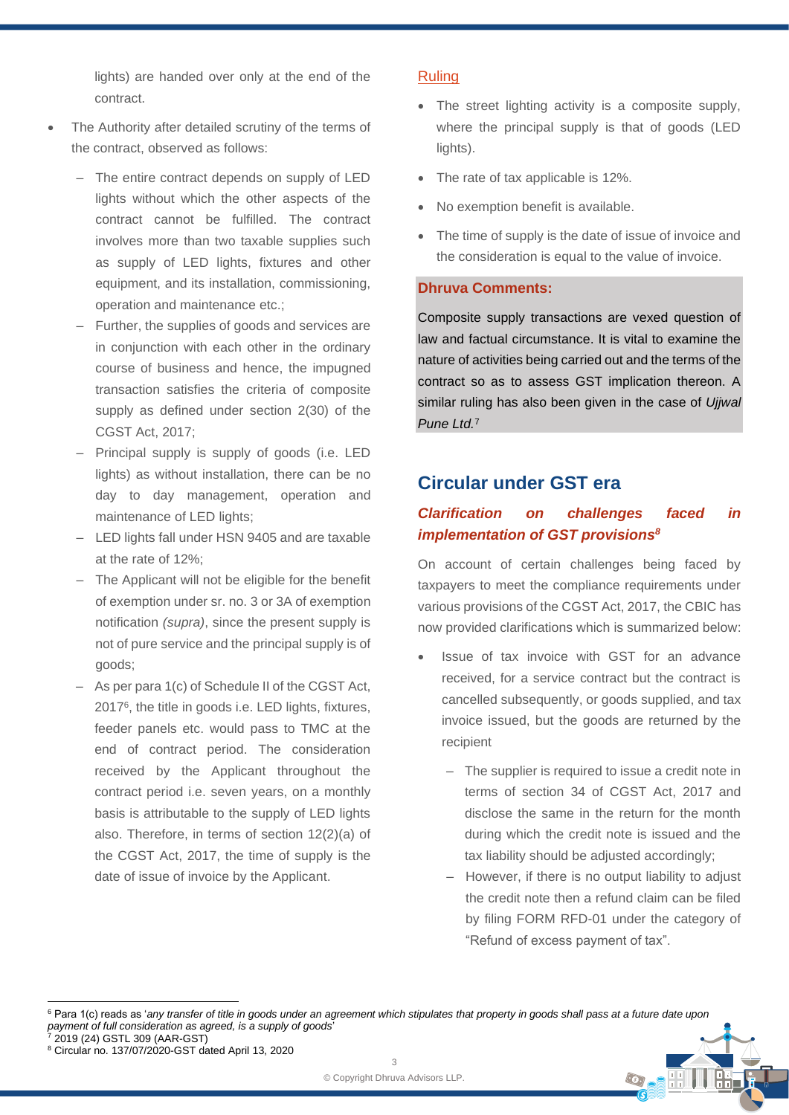lights) are handed over only at the end of the contract.

- The Authority after detailed scrutiny of the terms of the contract, observed as follows:
	- ‒ The entire contract depends on supply of LED lights without which the other aspects of the contract cannot be fulfilled. The contract involves more than two taxable supplies such as supply of LED lights, fixtures and other equipment, and its installation, commissioning, operation and maintenance etc.;
	- Further, the supplies of goods and services are in conjunction with each other in the ordinary course of business and hence, the impugned transaction satisfies the criteria of composite supply as defined under section 2(30) of the CGST Act, 2017;
	- ‒ Principal supply is supply of goods (i.e. LED lights) as without installation, there can be no day to day management, operation and maintenance of LED lights;
	- LED lights fall under HSN 9405 and are taxable at the rate of 12%;
	- The Applicant will not be eligible for the benefit of exemption under sr. no. 3 or 3A of exemption notification *(supra)*, since the present supply is not of pure service and the principal supply is of goods;
	- ‒ As per para 1(c) of Schedule II of the CGST Act, 2017<sup>6</sup> , the title in goods i.e. LED lights, fixtures, feeder panels etc. would pass to TMC at the end of contract period. The consideration received by the Applicant throughout the contract period i.e. seven years, on a monthly basis is attributable to the supply of LED lights also. Therefore, in terms of section 12(2)(a) of the CGST Act, 2017, the time of supply is the date of issue of invoice by the Applicant.

### Ruling

- The street lighting activity is a composite supply, where the principal supply is that of goods (LED lights).
- The rate of tax applicable is 12%.
- No exemption benefit is available.
- The time of supply is the date of issue of invoice and the consideration is equal to the value of invoice.

## **Dhruva Comments:**

Composite supply transactions are vexed question of law and factual circumstance. It is vital to examine the nature of activities being carried out and the terms of the contract so as to assess GST implication thereon. A similar ruling has also been given in the case of *Ujjwal Pune Ltd.*<sup>7</sup>

# **Circular under GST era**

## *Clarification on challenges faced in implementation of GST provisions<sup>8</sup>*

On account of certain challenges being faced by taxpayers to meet the compliance requirements under various provisions of the CGST Act, 2017, the CBIC has now provided clarifications which is summarized below:

- Issue of tax invoice with GST for an advance received, for a service contract but the contract is cancelled subsequently, or goods supplied, and tax invoice issued, but the goods are returned by the recipient
	- ‒ The supplier is required to issue a credit note in terms of section 34 of CGST Act, 2017 and disclose the same in the return for the month during which the credit note is issued and the tax liability should be adjusted accordingly;
	- ‒ However, if there is no output liability to adjust the credit note then a refund claim can be filed by filing FORM RFD-01 under the category of "Refund of excess payment of tax".

<sup>&</sup>lt;sup>6</sup> Para 1(c) reads as 'any transfer of title in goods under an agreement which stipulates that property in goods shall pass at a future date upon *payment of full consideration as agreed, is a supply of goods*<br> *payment of full consideration as agreed, is a supply of goods* 

<sup>2019 (24)</sup> GSTL 309 (AAR-GST)

<sup>8</sup> Circular no. 137/07/2020-GST dated April 13, 2020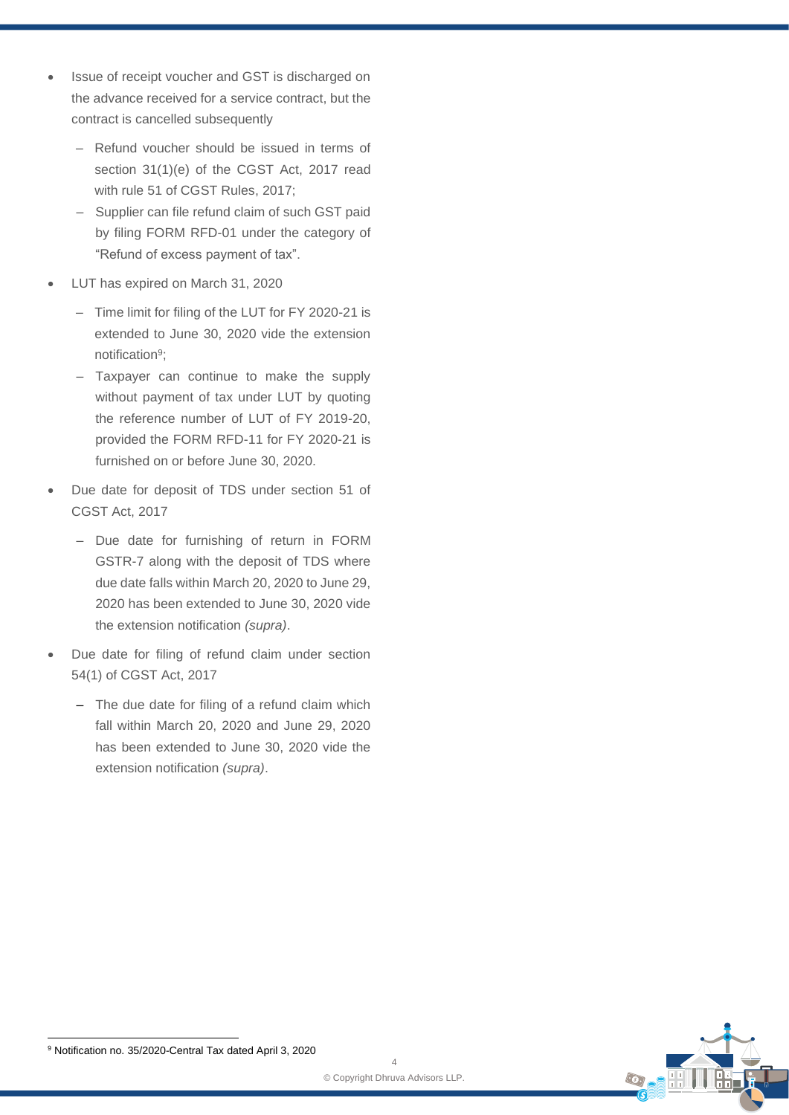- Issue of receipt voucher and GST is discharged on the advance received for a service contract, but the contract is cancelled subsequently
	- ‒ Refund voucher should be issued in terms of section 31(1)(e) of the CGST Act, 2017 read with rule 51 of CGST Rules, 2017;
	- Supplier can file refund claim of such GST paid by filing FORM RFD-01 under the category of "Refund of excess payment of tax".
- LUT has expired on March 31, 2020
	- Time limit for filing of the LUT for FY 2020-21 is extended to June 30, 2020 vide the extension notification<sup>9</sup>;
	- Taxpayer can continue to make the supply without payment of tax under LUT by quoting the reference number of LUT of FY 2019-20, provided the FORM RFD-11 for FY 2020-21 is furnished on or before June 30, 2020.
- Due date for deposit of TDS under section 51 of CGST Act, 2017
	- Due date for furnishing of return in FORM GSTR-7 along with the deposit of TDS where due date falls within March 20, 2020 to June 29, 2020 has been extended to June 30, 2020 vide the extension notification *(supra)*.
- Due date for filing of refund claim under section 54(1) of CGST Act, 2017
	- The due date for filing of a refund claim which fall within March 20, 2020 and June 29, 2020 has been extended to June 30, 2020 vide the extension notification *(supra)*.



<sup>9</sup> Notification no. 35/2020-Central Tax dated April 3, 2020